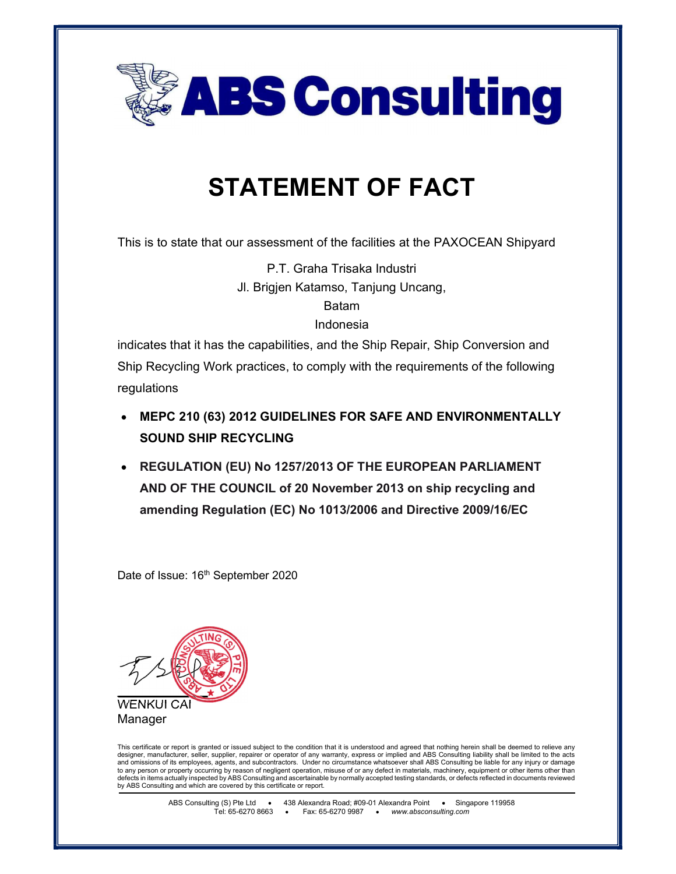

## STATEMENT OF FACT

This is to state that our assessment of the facilities at the PAXOCEAN Shipyard

P.T. Graha Trisaka Industri Jl. Brigjen Katamso, Tanjung Uncang,

Batam

Indonesia

indicates that it has the capabilities, and the Ship Repair, Ship Conversion and Ship Recycling Work practices, to comply with the requirements of the following regulations

- MEPC 210 (63) 2012 GUIDELINES FOR SAFE AND ENVIRONMENTALLY SOUND SHIP RECYCLING
- REGULATION (EU) No 1257/2013 OF THE EUROPEAN PARLIAMENT AND OF THE COUNCIL of 20 November 2013 on ship recycling and amending Regulation (EC) No 1013/2006 and Directive 2009/16/EC

Date of Issue: 16<sup>th</sup> September 2020





This certificate or report is granted or issued subject to the condition that it is understood and agreed that nothing herein shall be deemed to relieve any<br>designer, manufacturer, seller, supplier, repairer or operator of and omissions of its employees, agents, and subcontractors. Under no circumstance whatsoever shall ABS Consulting be liable for any injury or damage to any person or property occurring by reason of negligent operation, misuse of or any defect in materials, machinery, equipment or other items other than<br>defects in items actually inspected by ABS Consulting and ascertain by ABS Consulting and which are covered by this certificate or report.

> ABS Consulting (S) Pte Ltd • 438 Alexandra Road; #09-01 Alexandra Point • Singapore 119958 Tel: 65-6270 8663 • Fax: 65-6270 9987 • www.absconsulting.com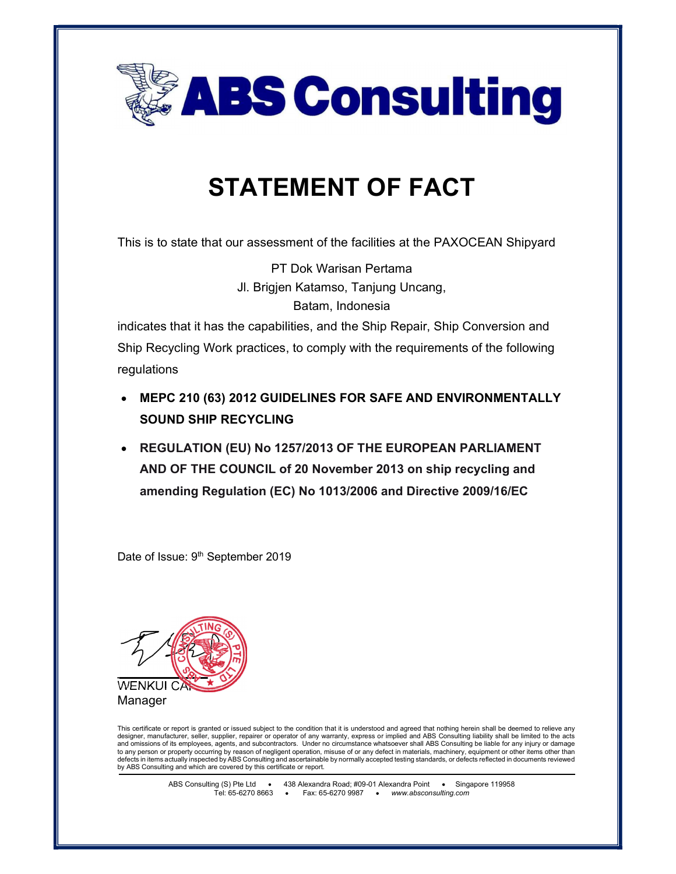

## STATEMENT OF FACT

This is to state that our assessment of the facilities at the PAXOCEAN Shipyard

PT Dok Warisan Pertama Jl. Brigjen Katamso, Tanjung Uncang, Batam, Indonesia

indicates that it has the capabilities, and the Ship Repair, Ship Conversion and Ship Recycling Work practices, to comply with the requirements of the following regulations

- MEPC 210 (63) 2012 GUIDELINES FOR SAFE AND ENVIRONMENTALLY SOUND SHIP RECYCLING
- REGULATION (EU) No 1257/2013 OF THE EUROPEAN PARLIAMENT AND OF THE COUNCIL of 20 November 2013 on ship recycling and amending Regulation (EC) No 1013/2006 and Directive 2009/16/EC

Date of Issue: 9<sup>th</sup> September 2019



This certificate or report is granted or issued subject to the condition that it is understood and agreed that nothing herein shall be deemed to relieve any designer, manufacturer, seller, supplier, repairer or operator of any warranty, express or implied and ABS Consulting liability shall be limited to the acts and omissions of its employees, agents, and subcontractors. Under no circumstance whatsoever shall ABS Consulting be liable for any injury or damage to any person or property occurring by reason of negligent operation, misuse of or any defect in materials, machinery, equipment or other items other than defects in items actually inspected by ABS Consulting and ascertainable by normally accepted testing standards, or defects reflected in documents reviewed by ABS Consulting and which are covered by this certificate or report.

> ABS Consulting (S) Pte Ltd 438 Alexandra Road; #09-01 Alexandra Point Singapore 119958 Tel: 65-6270 8663 • Fax: 65-6270 9987 • www.absconsulting.com